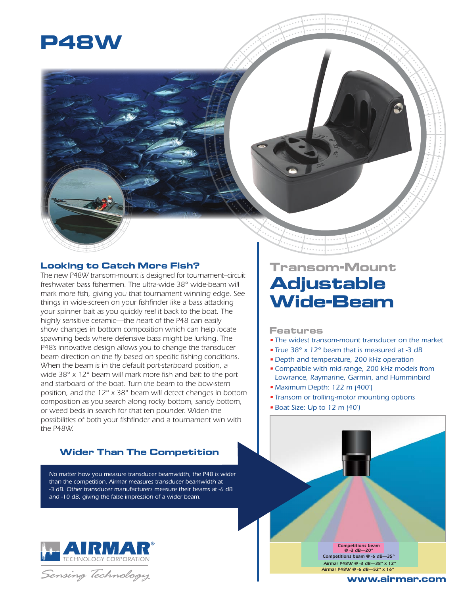

### **Looking to Catch More Fish?**

*The new P48W transom-mount is designed for tournament–circuit freshwater bass fishermen. The ultra-wide 38° wide-beam will mark more fish, giving you that tournament winning edge. See things in wide-screen on your fishfinder like a bass attacking your spinner bait as you quickly reel it back to the boat. The highly sensitive ceramic—the heart of the P48 can easily show changes in bottom composition which can help locate spawning beds where defensive bass might be lurking. The P48's innovative design allows you to change the transducer beam direction on the fly based on specific fishing conditions. When the beam is in the default port-starboard position, a wide 38° x 12° beam will mark more fish and bait to the port and starboard of the boat. Turn the beam to the bow-stern position, and the 12° x 38° beam will detect changes in bottom composition as you search along rocky bottom, sandy bottom, or weed beds in search for that ten pounder. Widen the possibilities of both your fishfinder and a tournament win with the P48W.*

## **Wider Than The Competition**

*No matter how you measure transducer beamwidth, the P48 is wider than the competition. Airmar measures transducer beamwidth at -3 dB. Other transducer manufacturers measure their beams at -6 dB and -10 dB, giving the false impression of a wider beam.*



Sensing Technology

# **Transom-Mount Adjustable Wide-Beam**

#### **Features**

- *• The widest transom-mount transducer on the market*
- *• True 38° x 12° beam that is measured at -3 dB*
- *• Depth and temperature, 200 kHz operation*
- *•Compatible with mid-range, 200 kHz models from Lowrance, Raymarine, Garmin, and Humminbird*
- *• Maximum Depth: 122 m (400')*
- *• Transom or trolling-motor mounting options*
- *• Boat Size: Up to 12 m (40')*

*Competitions beam @ -6 dB—35° Airmar P48W @ -3 dB—38° x 12° Airmar P48W @ -6 dB—52° x 16° Competitions beam @ -3 dB—20°*

#### **www.airmar.com**